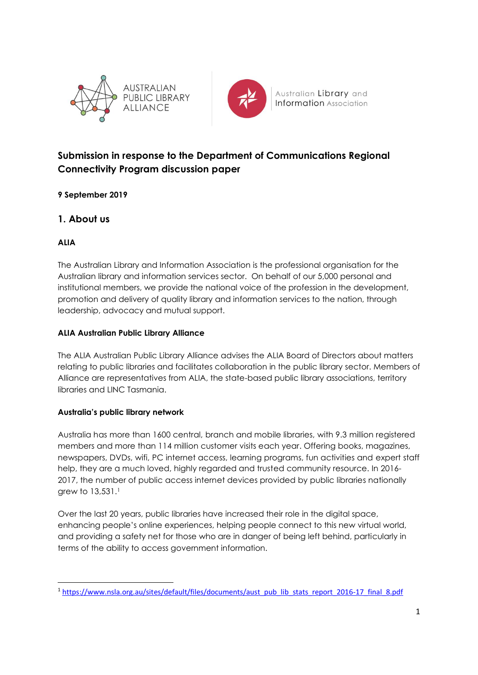



Australian Library and **Information** Association

# **Submission in response to the Department of Communications Regional Connectivity Program discussion paper**

# **9 September 2019**

# **1. About us**

### **ALIA**

The Australian Library and Information Association is the professional organisation for the Australian library and information services sector. On behalf of our 5,000 personal and institutional members, we provide the national voice of the profession in the development, promotion and delivery of quality library and information services to the nation, through leadership, advocacy and mutual support.

#### **ALIA Australian Public Library Alliance**

The ALIA Australian Public Library Alliance advises the ALIA Board of Directors about matters relating to public libraries and facilitates collaboration in the public library sector. Members of Alliance are representatives from ALIA, the state-based public library associations, territory libraries and LINC Tasmania.

### **Australia's public library network**

Australia has more than 1600 central, branch and mobile libraries, with 9.3 million registered members and more than 114 million customer visits each year. Offering books, magazines, newspapers, DVDs, wifi, PC internet access, learning programs, fun activities and expert staff help, they are a much loved, highly regarded and trusted community resource. In 2016- 2017, the number of public access internet devices provided by public libraries nationally grew to 13,531. 1

Over the last 20 years, public libraries have increased their role in the digital space, enhancing people's online experiences, helping people connect to this new virtual world, and providing a safety net for those who are in danger of being left behind, particularly in terms of the ability to access government information.

<sup>1</sup> [https://www.nsla.org.au/sites/default/files/documents/aust\\_pub\\_lib\\_stats\\_report\\_2016-17\\_final\\_8.pdf](https://www.nsla.org.au/sites/default/files/documents/aust_pub_lib_stats_report_2016-17_final_8.pdf)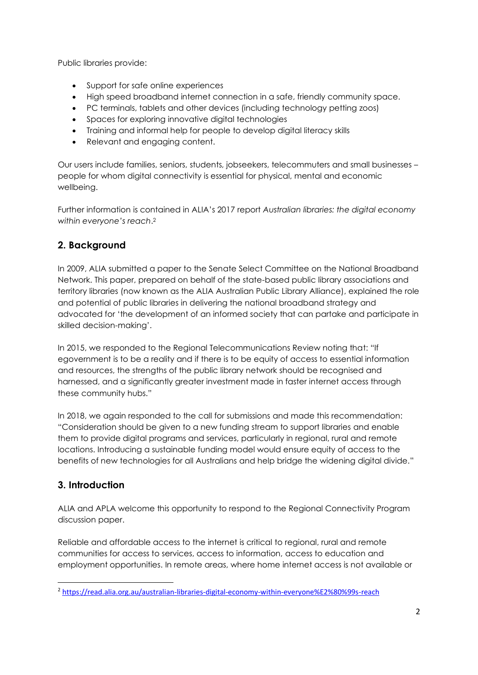Public libraries provide:

- Support for safe online experiences
- High speed broadband internet connection in a safe, friendly community space.
- PC terminals, tablets and other devices (including technology petting zoos)
- Spaces for exploring innovative digital technologies
- Training and informal help for people to develop digital literacy skills
- Relevant and engaging content.

Our users include families, seniors, students, jobseekers, telecommuters and small businesses – people for whom digital connectivity is essential for physical, mental and economic wellbeing.

Further information is contained in ALIA's 2017 report *Australian libraries: the digital economy within everyone's reach*. 2

# **2. Background**

In 2009, ALIA submitted a paper to the Senate Select Committee on the National Broadband Network. This paper, prepared on behalf of the state-based public library associations and territory libraries (now known as the ALIA Australian Public Library Alliance), explained the role and potential of public libraries in delivering the national broadband strategy and advocated for 'the development of an informed society that can partake and participate in skilled decision-making'.

In 2015, we responded to the Regional Telecommunications Review noting that: "If egovernment is to be a reality and if there is to be equity of access to essential information and resources, the strengths of the public library network should be recognised and harnessed, and a significantly greater investment made in faster internet access through these community hubs."

In 2018, we again responded to the call for submissions and made this recommendation: "Consideration should be given to a new funding stream to support libraries and enable them to provide digital programs and services, particularly in regional, rural and remote locations. Introducing a sustainable funding model would ensure equity of access to the benefits of new technologies for all Australians and help bridge the widening digital divide."

# **3. Introduction**

ALIA and APLA welcome this opportunity to respond to the Regional Connectivity Program discussion paper.

Reliable and affordable access to the internet is critical to regional, rural and remote communities for access to services, access to information, access to education and employment opportunities. In remote areas, where home internet access is not available or

<sup>2</sup> <https://read.alia.org.au/australian-libraries-digital-economy-within-everyone%E2%80%99s-reach>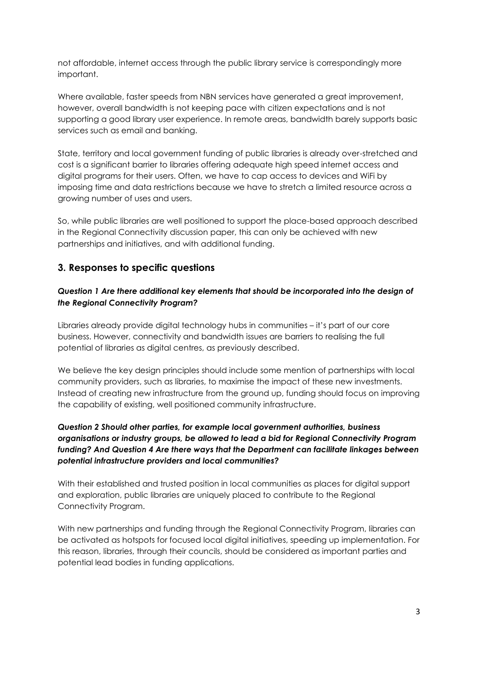not affordable, internet access through the public library service is correspondingly more important.

Where available, faster speeds from NBN services have generated a great improvement, however, overall bandwidth is not keeping pace with citizen expectations and is not supporting a good library user experience. In remote areas, bandwidth barely supports basic services such as email and banking.

State, territory and local government funding of public libraries is already over-stretched and cost is a significant barrier to libraries offering adequate high speed internet access and digital programs for their users. Often, we have to cap access to devices and WiFi by imposing time and data restrictions because we have to stretch a limited resource across a growing number of uses and users.

So, while public libraries are well positioned to support the place-based approach described in the Regional Connectivity discussion paper, this can only be achieved with new partnerships and initiatives, and with additional funding.

# **3. Responses to specific questions**

#### *Question 1 Are there additional key elements that should be incorporated into the design of the Regional Connectivity Program?*

Libraries already provide digital technology hubs in communities – it's part of our core business. However, connectivity and bandwidth issues are barriers to realising the full potential of libraries as digital centres, as previously described.

We believe the key design principles should include some mention of partnerships with local community providers, such as libraries, to maximise the impact of these new investments. Instead of creating new infrastructure from the ground up, funding should focus on improving the capability of existing, well positioned community infrastructure.

#### *Question 2 Should other parties, for example local government authorities, business organisations or industry groups, be allowed to lead a bid for Regional Connectivity Program funding? And Question 4 Are there ways that the Department can facilitate linkages between potential infrastructure providers and local communities?*

With their established and trusted position in local communities as places for digital support and exploration, public libraries are uniquely placed to contribute to the Regional Connectivity Program.

With new partnerships and funding through the Regional Connectivity Program, libraries can be activated as hotspots for focused local digital initiatives, speeding up implementation. For this reason, libraries, through their councils, should be considered as important parties and potential lead bodies in funding applications.